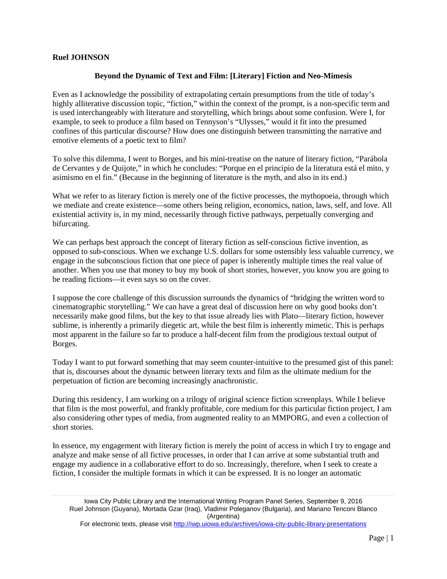## **Ruel JOHNSON**

## **Beyond the Dynamic of Text and Film: [Literary] Fiction and Neo-Mimesis**

Even as I acknowledge the possibility of extrapolating certain presumptions from the title of today's highly alliterative discussion topic, "fiction," within the context of the prompt, is a non-specific term and is used interchangeably with literature and storytelling, which brings about some confusion. Were I, for example, to seek to produce a film based on Tennyson's "Ulysses," would it fit into the presumed confines of this particular discourse? How does one distinguish between transmitting the narrative and emotive elements of a poetic text to film?

To solve this dilemma, I went to Borges, and his mini-treatise on the nature of literary fiction, "Parábola de Cervantes y de Quijote," in which he concludes: "Porque en el principio de la literatura está el mito, y asimismo en el fin." (Because in the beginning of literature is the myth, and also in its end.)

What we refer to as literary fiction is merely one of the fictive processes, the mythopoeia, through which we mediate and create existence—some others being religion, economics, nation, laws, self, and love. All existential activity is, in my mind, necessarily through fictive pathways, perpetually converging and bifurcating.

We can perhaps best approach the concept of literary fiction as self-conscious fictive invention, as opposed to sub-conscious. When we exchange U.S. dollars for some ostensibly less valuable currency, we engage in the subconscious fiction that one piece of paper is inherently multiple times the real value of another. When you use that money to buy my book of short stories, however, you know you are going to be reading fictions—it even says so on the cover.

I suppose the core challenge of this discussion surrounds the dynamics of "bridging the written word to cinematographic storytelling." We can have a great deal of discussion here on why good books don't necessarily make good films, but the key to that issue already lies with Plato—literary fiction, however sublime, is inherently a primarily diegetic art, while the best film is inherently mimetic. This is perhaps most apparent in the failure so far to produce a half-decent film from the prodigious textual output of Borges.

Today I want to put forward something that may seem counter-intuitive to the presumed gist of this panel: that is, discourses about the dynamic between literary texts and film as the ultimate medium for the perpetuation of fiction are becoming increasingly anachronistic.

During this residency, I am working on a trilogy of original science fiction screenplays. While I believe that film is the most powerful, and frankly profitable, core medium for this particular fiction project, I am also considering other types of media, from augmented reality to an MMPORG, and even a collection of short stories.

In essence, my engagement with literary fiction is merely the point of access in which I try to engage and analyze and make sense of all fictive processes, in order that I can arrive at some substantial truth and engage my audience in a collaborative effort to do so. Increasingly, therefore, when I seek to create a fiction, I consider the multiple formats in which it can be expressed. It is no longer an automatic

For electronic texts, please visit<http://iwp.uiowa.edu/archives/iowa-city-public-library-presentations>

Iowa City Public Library and the International Writing Program Panel Series, September 9, 2016 Ruel Johnson (Guyana), Mortada Gzar (Iraq), Vladimir Poleganov (Bulgaria), and Mariano Tenconi Blanco (Argentina)